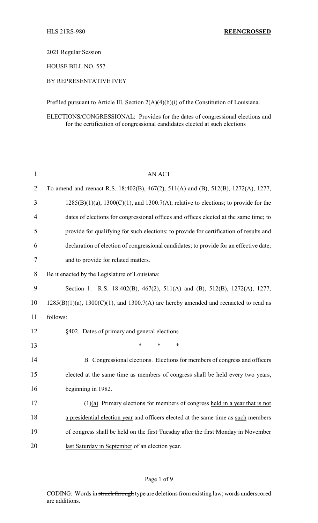2021 Regular Session

HOUSE BILL NO. 557

## BY REPRESENTATIVE IVEY

Prefiled pursuant to Article III, Section 2(A)(4)(b)(i) of the Constitution of Louisiana.

ELECTIONS/CONGRESSIONAL: Provides for the dates of congressional elections and for the certification of congressional candidates elected at such elections

| $\mathbf{1}$   | <b>AN ACT</b>                                                                                |
|----------------|----------------------------------------------------------------------------------------------|
| $\overline{2}$ | To amend and reenact R.S. 18:402(B), 467(2), 511(A) and (B), 512(B), 1272(A), 1277,          |
| 3              | $1285(B)(1)(a)$ , $1300(C)(1)$ , and $1300.7(A)$ , relative to elections; to provide for the |
| 4              | dates of elections for congressional offices and offices elected at the same time; to        |
| 5              | provide for qualifying for such elections; to provide for certification of results and       |
| 6              | declaration of election of congressional candidates; to provide for an effective date;       |
| 7              | and to provide for related matters.                                                          |
| 8              | Be it enacted by the Legislature of Louisiana:                                               |
| 9              | Section 1. R.S. 18:402(B), 467(2), 511(A) and (B), 512(B), 1272(A), 1277,                    |
| 10             | $1285(B)(1)(a)$ , $1300(C)(1)$ , and $1300.7(A)$ are hereby amended and reenacted to read as |
| 11             | follows:                                                                                     |
| 12             | §402. Dates of primary and general elections                                                 |
| 13             | $\ast$<br>*<br>*                                                                             |
| 14             | B. Congressional elections. Elections for members of congress and officers                   |
| 15             | elected at the same time as members of congress shall be held every two years,               |
| 16             | beginning in 1982.                                                                           |
| 17             | $(1)(a)$ Primary elections for members of congress held in a year that is not                |
| 18             | a presidential election year and officers elected at the same time as such members           |
| 19             | of congress shall be held on the first Tuesday after the first Monday in November            |
| 20             | last Saturday in September of an election year.                                              |

### Page 1 of 9

CODING: Words in struck through type are deletions from existing law; words underscored are additions.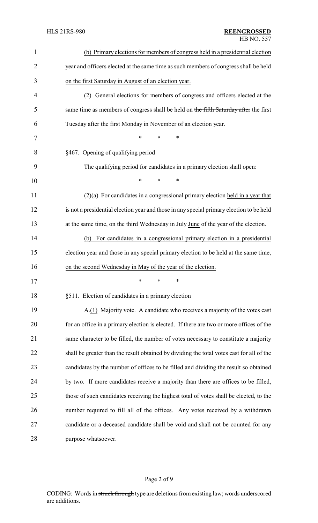| $\mathbf{1}$   | (b) Primary elections for members of congress held in a presidential election             |
|----------------|-------------------------------------------------------------------------------------------|
| $\overline{2}$ | year and officers elected at the same time as such members of congress shall be held      |
| 3              | on the first Saturday in August of an election year.                                      |
| $\overline{4}$ | (2) General elections for members of congress and officers elected at the                 |
| 5              | same time as members of congress shall be held on the fifth Saturday after the first      |
| 6              | Tuesday after the first Monday in November of an election year.                           |
| 7              | $\ast$<br>$\ast$<br>*                                                                     |
| 8              | §467. Opening of qualifying period                                                        |
| 9              | The qualifying period for candidates in a primary election shall open:                    |
| 10             | $\ast$<br>$\ast$<br>*                                                                     |
| 11             | $(2)(a)$ For candidates in a congressional primary election held in a year that           |
| 12             | is not a presidential election year and those in any special primary election to be held  |
| 13             | at the same time, on the third Wednesday in July June of the year of the election.        |
| 14             | For candidates in a congressional primary election in a presidential<br>(b)               |
| 15             | election year and those in any special primary election to be held at the same time,      |
| 16             | on the second Wednesday in May of the year of the election.                               |
| 17             | ∗<br>∗<br>∗                                                                               |
| 18             | §511. Election of candidates in a primary election                                        |
| 19             | A.(1) Majority vote. A candidate who receives a majority of the votes cast                |
| 20             | for an office in a primary election is elected. If there are two or more offices of the   |
| 21             | same character to be filled, the number of votes necessary to constitute a majority       |
| 22             | shall be greater than the result obtained by dividing the total votes cast for all of the |
| 23             | candidates by the number of offices to be filled and dividing the result so obtained      |
| 24             | by two. If more candidates receive a majority than there are offices to be filled,        |
| 25             | those of such candidates receiving the highest total of votes shall be elected, to the    |
| 26             | number required to fill all of the offices. Any votes received by a withdrawn             |
| 27             | candidate or a deceased candidate shall be void and shall not be counted for any          |
| 28             | purpose whatsoever.                                                                       |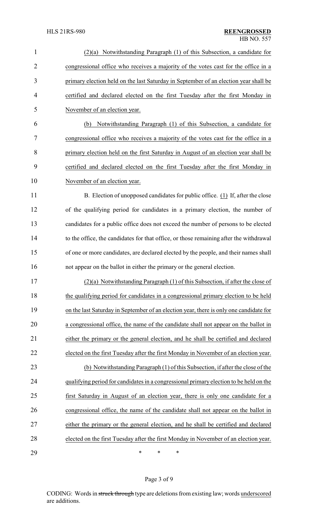| $\mathbf{1}$   | Notwithstanding Paragraph (1) of this Subsection, a candidate for<br>(2)(a)            |  |
|----------------|----------------------------------------------------------------------------------------|--|
| $\overline{2}$ | congressional office who receives a majority of the votes cast for the office in a     |  |
| 3              | primary election held on the last Saturday in September of an election year shall be   |  |
| $\overline{4}$ | certified and declared elected on the first Tuesday after the first Monday in          |  |
| 5              | November of an election year.                                                          |  |
| 6              | Notwithstanding Paragraph (1) of this Subsection, a candidate for<br>(b)               |  |
| 7              | congressional office who receives a majority of the votes cast for the office in a     |  |
| 8              | primary election held on the first Saturday in August of an election year shall be     |  |
| 9              | certified and declared elected on the first Tuesday after the first Monday in          |  |
| 10             | November of an election year.                                                          |  |
| 11             | B. Election of unopposed candidates for public office. (1) If, after the close         |  |
| 12             | of the qualifying period for candidates in a primary election, the number of           |  |
| 13             | candidates for a public office does not exceed the number of persons to be elected     |  |
| 14             | to the office, the candidates for that office, or those remaining after the withdrawal |  |
| 15             | of one or more candidates, are declared elected by the people, and their names shall   |  |
| 16             | not appear on the ballot in either the primary or the general election.                |  |
| 17             | $(2)(a)$ Notwithstanding Paragraph (1) of this Subsection, if after the close of       |  |
| 18             | the qualifying period for candidates in a congressional primary election to be held    |  |
| 19             | on the last Saturday in September of an election year, there is only one candidate for |  |
| 20             | a congressional office, the name of the candidate shall not appear on the ballot in    |  |
| 21             | either the primary or the general election, and he shall be certified and declared     |  |
| 22             | elected on the first Tuesday after the first Monday in November of an election year.   |  |
| 23             | (b) Notwithstanding Paragraph (1) of this Subsection, if after the close of the        |  |
| 24             | qualifying period for candidates in a congressional primary election to be held on the |  |
| 25             | first Saturday in August of an election year, there is only one candidate for a        |  |
| 26             | congressional office, the name of the candidate shall not appear on the ballot in      |  |
| 27             | either the primary or the general election, and he shall be certified and declared     |  |
| 28             | elected on the first Tuesday after the first Monday in November of an election year.   |  |
| 29             | $\ast$<br>$\ast$<br>∗                                                                  |  |

Page 3 of 9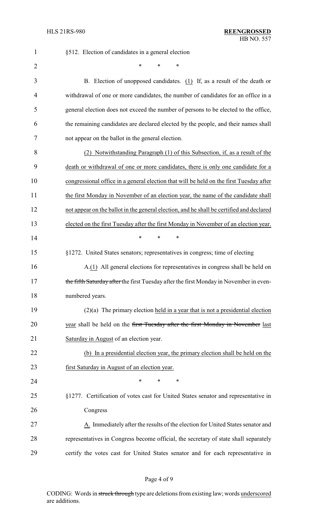| $\mathbf{1}$   | §512. Election of candidates in a general election                                       |  |
|----------------|------------------------------------------------------------------------------------------|--|
| $\overline{2}$ | $\ast$                                                                                   |  |
| 3              | B. Election of unopposed candidates. (1) If, as a result of the death or                 |  |
| 4              | withdrawal of one or more candidates, the number of candidates for an office in a        |  |
| 5              | general election does not exceed the number of persons to be elected to the office,      |  |
| 6              | the remaining candidates are declared elected by the people, and their names shall       |  |
| 7              | not appear on the ballot in the general election.                                        |  |
| 8              | (2) Notwithstanding Paragraph (1) of this Subsection, if, as a result of the             |  |
| 9              | death or withdrawal of one or more candidates, there is only one candidate for a         |  |
| 10             | congressional office in a general election that will be held on the first Tuesday after  |  |
| 11             | the first Monday in November of an election year, the name of the candidate shall        |  |
| 12             | not appear on the ballot in the general election, and he shall be certified and declared |  |
| 13             | elected on the first Tuesday after the first Monday in November of an election year.     |  |
| 14             | $\ast$<br>*<br>*                                                                         |  |
| 15             | §1272. United States senators; representatives in congress; time of electing             |  |
| 16             | A.(1) All general elections for representatives in congress shall be held on             |  |
| 17             | the fifth Saturday after the first Tuesday after the first Monday in November in even-   |  |
| 18             | numbered years.                                                                          |  |
| 19             | $(2)(a)$ The primary election held in a year that is not a presidential election         |  |
| 20             | year shall be held on the first Tuesday after the first Monday in November last          |  |
| 21             | Saturday in August of an election year.                                                  |  |
| 22             | (b) In a presidential election year, the primary election shall be held on the           |  |
| 23             | first Saturday in August of an election year.                                            |  |
| 24             | *<br>∗<br>*                                                                              |  |
| 25             | §1277. Certification of votes cast for United States senator and representative in       |  |
| 26             | Congress                                                                                 |  |
| 27             | A. Immediately after the results of the election for United States senator and           |  |
| 28             | representatives in Congress become official, the secretary of state shall separately     |  |
| 29             | certify the votes cast for United States senator and for each representative in          |  |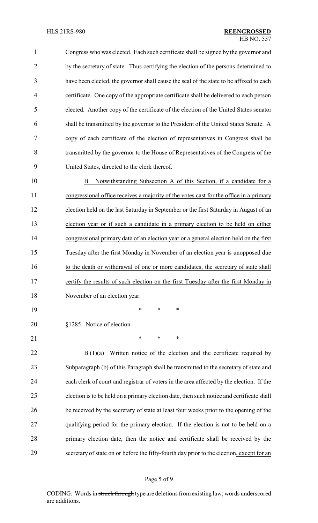Congress who was elected. Each such certificate shall be signed by the governor and 2 by the secretary of state. Thus certifying the election of the persons determined to have been elected, the governor shall cause the seal of the state to be affixed to each certificate. One copy of the appropriate certificate shall be delivered to each person elected. Another copy of the certificate of the election of the United States senator shall be transmitted by the governor to the President of the United States Senate. A copy of each certificate of the election of representatives in Congress shall be transmitted by the governor to the House of Representatives of the Congress of the United States, directed to the clerk thereof.

 B. Notwithstanding Subsection A of this Section, if a candidate for a congressional office receives a majority of the votes cast for the office in a primary election held on the last Saturday in September or the first Saturday in August of an election year or if such a candidate in a primary election to be held on either congressional primary date of an election year or a general election held on the first Tuesday after the first Monday in November of an election year is unopposed due 16 to the death or withdrawal of one or more candidates, the secretary of state shall certify the results of such election on the first Tuesday after the first Monday in 18 November of an election year.

\* \* \*

- §1285. Notice of election
- 

21 \* \* \* \*

22 B.(1)(a) Written notice of the election and the certificate required by Subparagraph (b) of this Paragraph shall be transmitted to the secretary of state and each clerk of court and registrar of voters in the area affected by the election. If the election is to be held on a primary election date, then such notice and certificate shall be received by the secretary of state at least four weeks prior to the opening of the qualifying period for the primary election. If the election is not to be held on a primary election date, then the notice and certificate shall be received by the secretary of state on or before the fifty-fourth day prior to the election, except for an

CODING: Words in struck through type are deletions from existing law; words underscored are additions.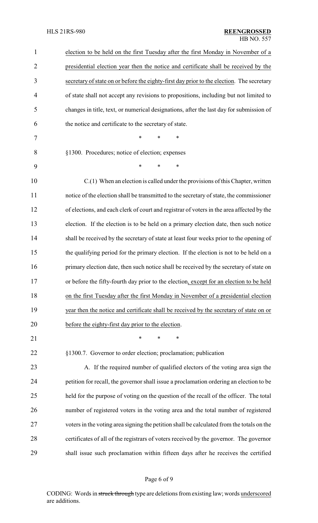| $\mathbf{1}$   | election to be held on the first Tuesday after the first Monday in November of a          |  |  |
|----------------|-------------------------------------------------------------------------------------------|--|--|
| $\overline{2}$ | presidential election year then the notice and certificate shall be received by the       |  |  |
| 3              | secretary of state on or before the eighty-first day prior to the election. The secretary |  |  |
| 4              | of state shall not accept any revisions to propositions, including but not limited to     |  |  |
| 5              | changes in title, text, or numerical designations, after the last day for submission of   |  |  |
| 6              | the notice and certificate to the secretary of state.                                     |  |  |
| 7              | $\ast$<br>$\ast$<br>∗                                                                     |  |  |
| 8              | §1300. Procedures; notice of election; expenses                                           |  |  |
| 9              | *<br>$\ast$<br>∗                                                                          |  |  |
| 10             | $C(1)$ When an election is called under the provisions of this Chapter, written           |  |  |
| 11             | notice of the election shall be transmitted to the secretary of state, the commissioner   |  |  |
| 12             | of elections, and each clerk of court and registrar of voters in the area affected by the |  |  |
| 13             | election. If the election is to be held on a primary election date, then such notice      |  |  |
| 14             | shall be received by the secretary of state at least four weeks prior to the opening of   |  |  |
| 15             | the qualifying period for the primary election. If the election is not to be held on a    |  |  |
| 16             | primary election date, then such notice shall be received by the secretary of state on    |  |  |
| 17             | or before the fifty-fourth day prior to the election, except for an election to be held   |  |  |
| 18             | on the first Tuesday after the first Monday in November of a presidential election        |  |  |
| 19             | year then the notice and certificate shall be received by the secretary of state on or    |  |  |
| 20             | before the eighty-first day prior to the election.                                        |  |  |
| 21             | ∗<br>*<br>*                                                                               |  |  |
| 22             | §1300.7. Governor to order election; proclamation; publication                            |  |  |
| 23             | A. If the required number of qualified electors of the voting area sign the               |  |  |
| 24             | petition for recall, the governor shall issue a proclamation ordering an election to be   |  |  |
| 25             | held for the purpose of voting on the question of the recall of the officer. The total    |  |  |
| 26             | number of registered voters in the voting area and the total number of registered         |  |  |
| 27             | voters in the voting area signing the petition shall be calculated from the totals on the |  |  |
| 28             | certificates of all of the registrars of voters received by the governor. The governor    |  |  |
| 29             | shall issue such proclamation within fifteen days after he receives the certified         |  |  |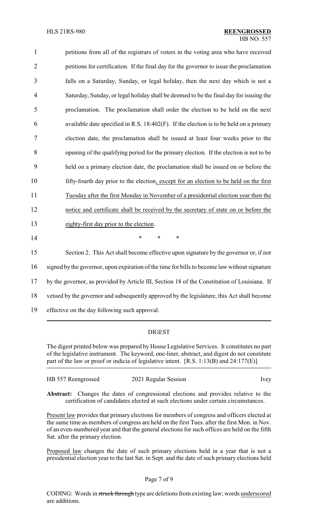| 1              | petitions from all of the registrars of voters in the voting area who have received           |
|----------------|-----------------------------------------------------------------------------------------------|
| $\overline{2}$ | petitions for certification. If the final day for the governor to issue the proclamation      |
| 3              | falls on a Saturday, Sunday, or legal holiday, then the next day which is not a               |
| 4              | Saturday, Sunday, or legal holiday shall be deemed to be the final day for issuing the        |
| 5              | proclamation. The proclamation shall order the election to be held on the next                |
| 6              | available date specified in R.S. 18:402(F). If the election is to be held on a primary        |
| 7              | election date, the proclamation shall be issued at least four weeks prior to the              |
| 8              | opening of the qualifying period for the primary election. If the election is not to be       |
| 9              | held on a primary election date, the proclamation shall be issued on or before the            |
| 10             | fifty-fourth day prior to the election, except for an election to be held on the first        |
| 11             | Tuesday after the first Monday in November of a presidential election year then the           |
| 12             | notice and certificate shall be received by the secretary of state on or before the           |
| 13             | eighty-first day prior to the election.                                                       |
| 14             | *<br>$\ast$<br>$\ast$                                                                         |
| 15             | Section 2. This Act shall become effective upon signature by the governor or, if not          |
| 16             | signed by the governor, upon expiration of the time for bills to become law without signature |
| 17             | by the governor, as provided by Article III, Section 18 of the Constitution of Louisiana. If  |
| 18             | vetoed by the governor and subsequently approved by the legislature, this Act shall become    |
| 19             | effective on the day following such approval.                                                 |

### DIGEST

The digest printed below was prepared by House Legislative Services. It constitutes no part of the legislative instrument. The keyword, one-liner, abstract, and digest do not constitute part of the law or proof or indicia of legislative intent. [R.S. 1:13(B) and 24:177(E)]

| HB 557 Reengrossed | 2021 Regular Session | Ivey |
|--------------------|----------------------|------|
|--------------------|----------------------|------|

**Abstract:** Changes the dates of congressional elections and provides relative to the certification of candidates elected at such elections under certain circumstances.

Present law provides that primary elections for members of congress and officers elected at the same time as members of congress are held on the first Tues. after the first Mon. in Nov. of an even-numbered year and that the general elections for such offices are held on the fifth Sat. after the primary election.

Proposed law changes the date of such primary elections held in a year that is not a presidential election year to the last Sat. in Sept. and the date of such primary elections held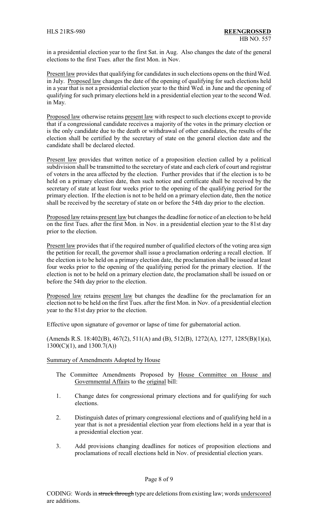in a presidential election year to the first Sat. in Aug. Also changes the date of the general elections to the first Tues. after the first Mon. in Nov.

Present law provides that qualifying for candidates in such elections opens on the third Wed. in July. Proposed law changes the date of the opening of qualifying for such elections held in a year that is not a presidential election year to the third Wed. in June and the opening of qualifying for such primary elections held in a presidential election year to the second Wed. in May.

Proposed law otherwise retains present law with respect to such elections except to provide that if a congressional candidate receives a majority of the votes in the primary election or is the only candidate due to the death or withdrawal of other candidates, the results of the election shall be certified by the secretary of state on the general election date and the candidate shall be declared elected.

Present law provides that written notice of a proposition election called by a political subdivision shall be transmitted to the secretary of state and each clerk of court and registrar of voters in the area affected by the election. Further provides that if the election is to be held on a primary election date, then such notice and certificate shall be received by the secretary of state at least four weeks prior to the opening of the qualifying period for the primary election. If the election is not to be held on a primary election date, then the notice shall be received by the secretary of state on or before the 54th day prior to the election.

Proposed law retains present law but changes the deadline for notice of an election to be held on the first Tues. after the first Mon. in Nov. in a presidential election year to the 81st day prior to the election.

Present law provides that if the required number of qualified electors of the voting area sign the petition for recall, the governor shall issue a proclamation ordering a recall election. If the election is to be held on a primary election date, the proclamation shall be issued at least four weeks prior to the opening of the qualifying period for the primary election. If the election is not to be held on a primary election date, the proclamation shall be issued on or before the 54th day prior to the election.

Proposed law retains present law but changes the deadline for the proclamation for an election not to be held on the first Tues. after the first Mon. in Nov. of a presidential election year to the 81st day prior to the election.

Effective upon signature of governor or lapse of time for gubernatorial action.

(Amends R.S. 18:402(B), 467(2), 511(A) and (B), 512(B), 1272(A), 1277, 1285(B)(1)(a), 1300(C)(1), and 1300.7(A))

#### Summary of Amendments Adopted by House

- The Committee Amendments Proposed by House Committee on House and Governmental Affairs to the original bill:
- 1. Change dates for congressional primary elections and for qualifying for such elections.
- 2. Distinguish dates of primary congressional elections and of qualifying held in a year that is not a presidential election year from elections held in a year that is a presidential election year.
- 3. Add provisions changing deadlines for notices of proposition elections and proclamations of recall elections held in Nov. of presidential election years.